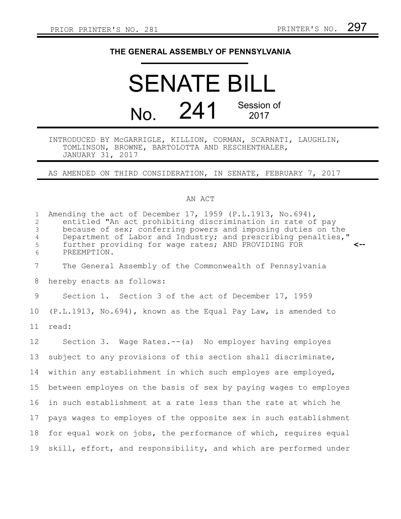## **THE GENERAL ASSEMBLY OF PENNSYLVANIA**

# SENATE BILL No. 241 Session of 2017

#### INTRODUCED BY McGARRIGLE, KILLION, CORMAN, SCARNATI, LAUGHLIN, TOMLINSON, BROWNE, BARTOLOTTA AND RESCHENTHALER, JANUARY 31, 2017

### AS AMENDED ON THIRD CONSIDERATION, IN SENATE, FEBRUARY 7, 2017

#### AN ACT

| $\mathbf{1}$<br>2<br>3<br>$\overline{4}$<br>5<br>6 | Amending the act of December 17, 1959 (P.L.1913, No.694),<br>entitled "An act prohibiting discrimination in rate of pay<br>because of sex; conferring powers and imposing duties on the<br>Department of Labor and Industry; and prescribing penalties,"<br>further providing for wage rates; AND PROVIDING FOR<br><--<br>PREEMPTION. |
|----------------------------------------------------|---------------------------------------------------------------------------------------------------------------------------------------------------------------------------------------------------------------------------------------------------------------------------------------------------------------------------------------|
| 7                                                  | The General Assembly of the Commonwealth of Pennsylvania                                                                                                                                                                                                                                                                              |
| 8                                                  | hereby enacts as follows:                                                                                                                                                                                                                                                                                                             |
| 9                                                  | Section 1. Section 3 of the act of December 17, 1959                                                                                                                                                                                                                                                                                  |
| 10                                                 | $(P.L.1913, No.694)$ , known as the Equal Pay Law, is amended to                                                                                                                                                                                                                                                                      |
| 11                                                 | read:                                                                                                                                                                                                                                                                                                                                 |
| 12 <sup>°</sup>                                    | Section 3. Wage Rates.-- (a) No employer having employes                                                                                                                                                                                                                                                                              |
| 13                                                 | subject to any provisions of this section shall discriminate,                                                                                                                                                                                                                                                                         |
| 14                                                 | within any establishment in which such employes are employed,                                                                                                                                                                                                                                                                         |
| 15                                                 | between employes on the basis of sex by paying wages to employes                                                                                                                                                                                                                                                                      |
| 16                                                 | in such establishment at a rate less than the rate at which he                                                                                                                                                                                                                                                                        |
| 17                                                 | pays wages to employes of the opposite sex in such establishment                                                                                                                                                                                                                                                                      |
| 18                                                 | for equal work on jobs, the performance of which, requires equal                                                                                                                                                                                                                                                                      |
| 19                                                 | skill, effort, and responsibility, and which are performed under                                                                                                                                                                                                                                                                      |
|                                                    |                                                                                                                                                                                                                                                                                                                                       |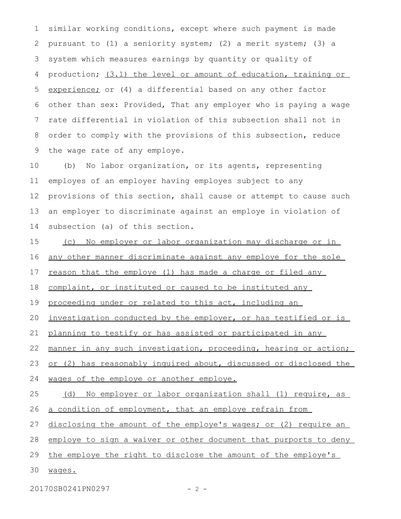similar working conditions, except where such payment is made pursuant to (1) a seniority system; (2) a merit system; (3) a system which measures earnings by quantity or quality of production; (3.1) the level or amount of education, training or experience; or (4) a differential based on any other factor other than sex: Provided, That any employer who is paying a wage rate differential in violation of this subsection shall not in order to comply with the provisions of this subsection, reduce the wage rate of any employe. 1 2 3 4 5 6 7 8 9

(b) No labor organization, or its agents, representing employes of an employer having employes subject to any provisions of this section, shall cause or attempt to cause such an employer to discriminate against an employe in violation of subsection (a) of this section. 10 11 12 13 14

(c) No employer or labor organization may discharge or in any other manner discriminate against any employe for the sole reason that the employe (1) has made a charge or filed any 15 16 17

complaint, or instituted or caused to be instituted any 18

proceeding under or related to this act, including an 19

investigation conducted by the employer, or has testified or is 20

planning to testify or has assisted or participated in any 21

manner in any such investigation, proceeding, hearing or action; 22

or (2) has reasonably inquired about, discussed or disclosed the 23

wages of the employe or another employe. 24

(d) No employer or labor organization shall (1) require, as a condition of employment, that an employe refrain from 25 26

disclosing the amount of the employe's wages; or (2) require an 27

employe to sign a waiver or other document that purports to deny 28

the employe the right to disclose the amount of the employe's 29

wages. 30

20170SB0241PN0297 - 2 -